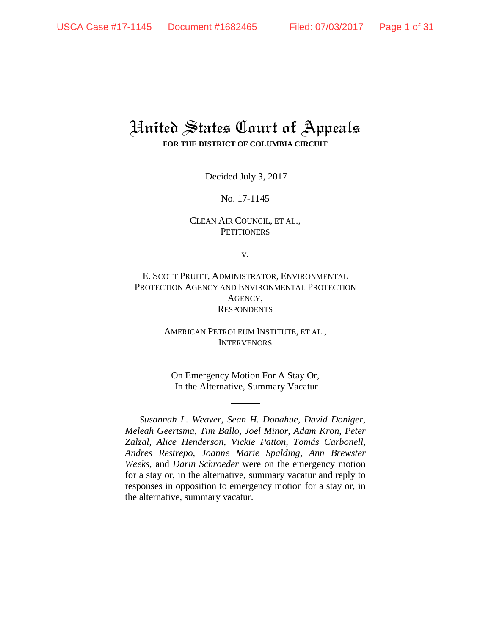# United States Court of Appeals **FOR THE DISTRICT OF COLUMBIA CIRCUIT**

Decided July 3, 2017

No. 17-1145

CLEAN AIR COUNCIL, ET AL., **PETITIONERS** 

v.

E. SCOTT PRUITT, ADMINISTRATOR, ENVIRONMENTAL PROTECTION AGENCY AND ENVIRONMENTAL PROTECTION AGENCY, **RESPONDENTS** 

> AMERICAN PETROLEUM INSTITUTE, ET AL., **INTERVENORS**

On Emergency Motion For A Stay Or, In the Alternative, Summary Vacatur

*Susannah L. Weaver*, *Sean H. Donahue*, *David Doniger*, *Meleah Geertsma*, *Tim Ballo*, *Joel Minor*, *Adam Kron*, *Peter Zalzal*, *Alice Henderson*, *Vickie Patton*, *Tomás Carbonell*, *Andres Restrepo*, *Joanne Marie Spalding*, *Ann Brewster Weeks*, and *Darin Schroeder* were on the emergency motion for a stay or, in the alternative, summary vacatur and reply to responses in opposition to emergency motion for a stay or, in the alternative, summary vacatur.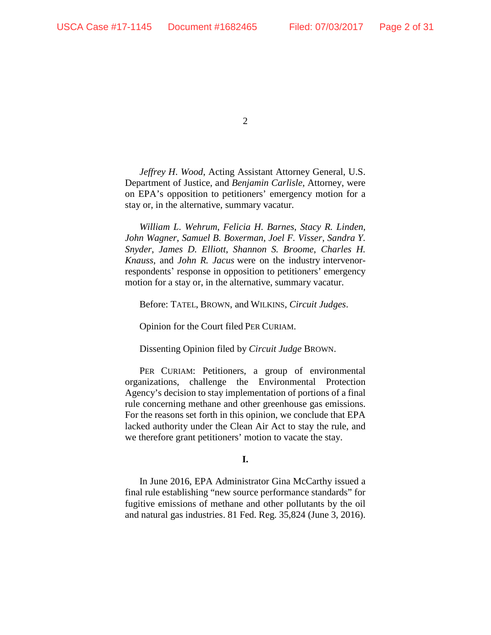*Jeffrey H*. *Wood*, Acting Assistant Attorney General, U.S. Department of Justice, and *Benjamin Carlisle*, Attorney, were on EPA's opposition to petitioners' emergency motion for a stay or, in the alternative, summary vacatur.

*William L*. *Wehrum*, *Felicia H. Barnes*, *Stacy R. Linden*, *John Wagner*, *Samuel B. Boxerman*, *Joel F. Visser*, *Sandra Y. Snyder*, *James D. Elliott*, *Shannon S. Broome*, *Charles H. Knauss*, and *John R. Jacus* were on the industry intervenorrespondents' response in opposition to petitioners' emergency motion for a stay or, in the alternative, summary vacatur.

Before: TATEL, BROWN, and WILKINS, *Circuit Judges*.

Opinion for the Court filed PER CURIAM.

Dissenting Opinion filed by *Circuit Judge* BROWN.

PER CURIAM: Petitioners, a group of environmental organizations, challenge the Environmental Protection Agency's decision to stay implementation of portions of a final rule concerning methane and other greenhouse gas emissions. For the reasons set forth in this opinion, we conclude that EPA lacked authority under the Clean Air Act to stay the rule, and we therefore grant petitioners' motion to vacate the stay.

# **I.**

In June 2016, EPA Administrator Gina McCarthy issued a final rule establishing "new source performance standards" for fugitive emissions of methane and other pollutants by the oil and natural gas industries. 81 Fed. Reg. 35,824 (June 3, 2016).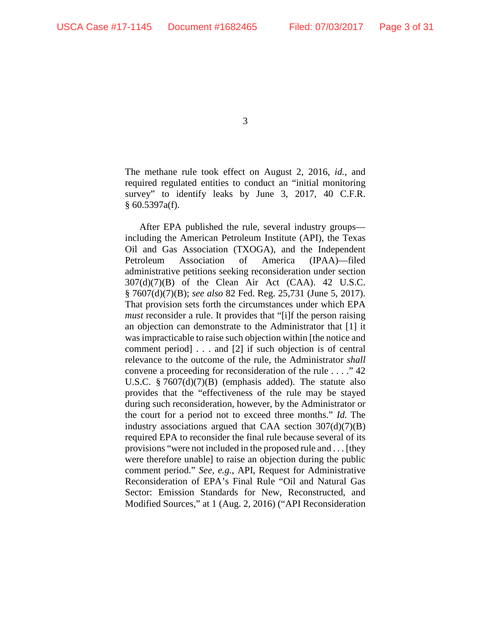The methane rule took effect on August 2, 2016, *id.*, and required regulated entities to conduct an "initial monitoring survey" to identify leaks by June 3, 2017, 40 C.F.R. § 60.5397a(f).

After EPA published the rule, several industry groups including the American Petroleum Institute (API), the Texas Oil and Gas Association (TXOGA), and the Independent Petroleum Association of America (IPAA)—filed administrative petitions seeking reconsideration under section  $307(d)(7)(B)$  of the Clean Air Act (CAA). 42 U.S.C. § 7607(d)(7)(B); *see also* 82 Fed. Reg. 25,731 (June 5, 2017). That provision sets forth the circumstances under which EPA *must* reconsider a rule. It provides that "[i]f the person raising an objection can demonstrate to the Administrator that [1] it was impracticable to raise such objection within [the notice and comment period] . . . and [2] if such objection is of central relevance to the outcome of the rule, the Administrator *shall* convene a proceeding for reconsideration of the rule . . . ." 42 U.S.C. § 7607(d)(7)(B) (emphasis added). The statute also provides that the "effectiveness of the rule may be stayed during such reconsideration, however, by the Administrator or the court for a period not to exceed three months." *Id.* The industry associations argued that CAA section  $307(d)(7)(B)$ required EPA to reconsider the final rule because several of its provisions "were not included in the proposed rule and . . . [they were therefore unable] to raise an objection during the public comment period." *See, e.g.*, API, Request for Administrative Reconsideration of EPA's Final Rule "Oil and Natural Gas Sector: Emission Standards for New, Reconstructed, and Modified Sources," at 1 (Aug. 2, 2016) ("API Reconsideration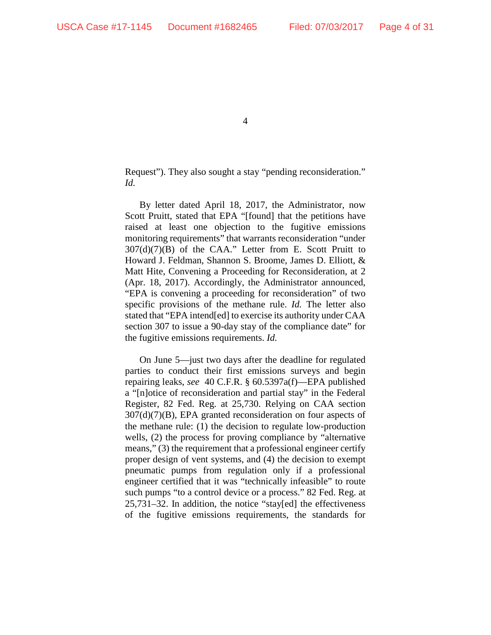Request"). They also sought a stay "pending reconsideration." *Id.*

By letter dated April 18, 2017, the Administrator, now Scott Pruitt, stated that EPA "[found] that the petitions have raised at least one objection to the fugitive emissions monitoring requirements" that warrants reconsideration "under  $307(d)(7)(B)$  of the CAA." Letter from E. Scott Pruitt to Howard J. Feldman, Shannon S. Broome, James D. Elliott, & Matt Hite, Convening a Proceeding for Reconsideration, at 2 (Apr. 18, 2017). Accordingly, the Administrator announced, "EPA is convening a proceeding for reconsideration" of two specific provisions of the methane rule. *Id.* The letter also stated that "EPA intend[ed] to exercise its authority under CAA section 307 to issue a 90-day stay of the compliance date" for the fugitive emissions requirements. *Id.* 

On June 5—just two days after the deadline for regulated parties to conduct their first emissions surveys and begin repairing leaks, *see* 40 C.F.R. § 60.5397a(f)—EPA published a "[n]otice of reconsideration and partial stay" in the Federal Register, 82 Fed. Reg. at 25,730. Relying on CAA section 307(d)(7)(B), EPA granted reconsideration on four aspects of the methane rule: (1) the decision to regulate low-production wells, (2) the process for proving compliance by "alternative means," (3) the requirement that a professional engineer certify proper design of vent systems, and (4) the decision to exempt pneumatic pumps from regulation only if a professional engineer certified that it was "technically infeasible" to route such pumps "to a control device or a process." 82 Fed. Reg. at 25,731–32. In addition, the notice "stay[ed] the effectiveness of the fugitive emissions requirements, the standards for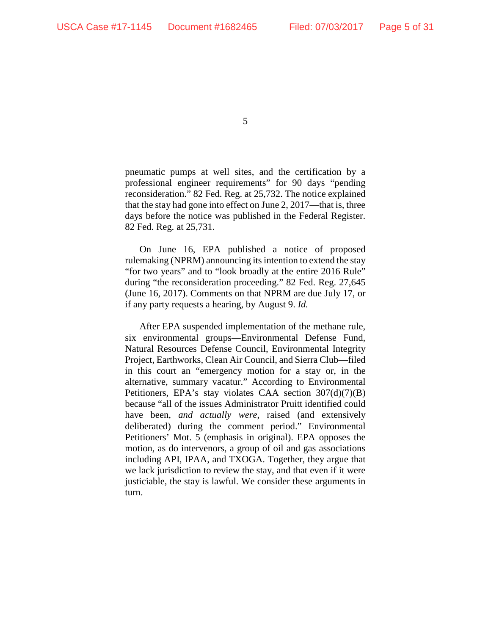pneumatic pumps at well sites, and the certification by a professional engineer requirements" for 90 days "pending reconsideration." 82 Fed. Reg. at 25,732. The notice explained that the stay had gone into effect on June 2, 2017—that is, three days before the notice was published in the Federal Register. 82 Fed. Reg. at 25,731.

On June 16, EPA published a notice of proposed rulemaking (NPRM) announcing its intention to extend the stay "for two years" and to "look broadly at the entire 2016 Rule" during "the reconsideration proceeding." 82 Fed. Reg. 27,645 (June 16, 2017). Comments on that NPRM are due July 17, or if any party requests a hearing, by August 9. *Id.*

After EPA suspended implementation of the methane rule, six environmental groups—Environmental Defense Fund, Natural Resources Defense Council, Environmental Integrity Project, Earthworks, Clean Air Council, and Sierra Club—filed in this court an "emergency motion for a stay or, in the alternative, summary vacatur." According to Environmental Petitioners, EPA's stay violates CAA section 307(d)(7)(B) because "all of the issues Administrator Pruitt identified could have been, *and actually were*, raised (and extensively deliberated) during the comment period." Environmental Petitioners' Mot. 5 (emphasis in original). EPA opposes the motion, as do intervenors, a group of oil and gas associations including API, IPAA, and TXOGA. Together, they argue that we lack jurisdiction to review the stay, and that even if it were justiciable, the stay is lawful. We consider these arguments in turn.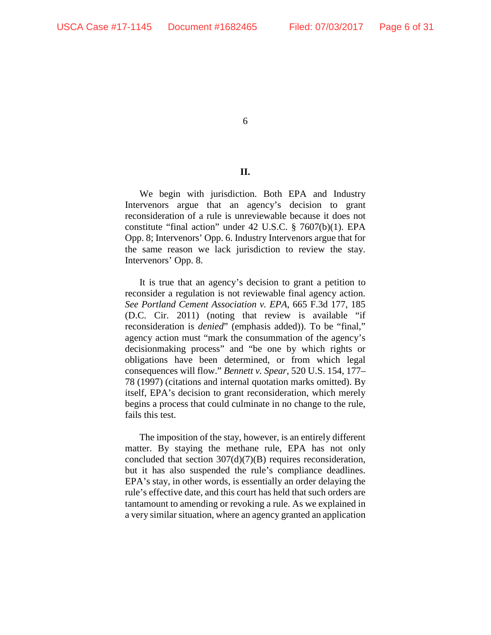### **II.**

We begin with jurisdiction. Both EPA and Industry Intervenors argue that an agency's decision to grant reconsideration of a rule is unreviewable because it does not constitute "final action" under 42 U.S.C. § 7607(b)(1). EPA Opp. 8; Intervenors' Opp. 6. Industry Intervenors argue that for the same reason we lack jurisdiction to review the stay. Intervenors' Opp. 8.

It is true that an agency's decision to grant a petition to reconsider a regulation is not reviewable final agency action. *See Portland Cement Association v. EPA*, 665 F.3d 177, 185 (D.C. Cir. 2011) (noting that review is available "if reconsideration is *denied*" (emphasis added)). To be "final," agency action must "mark the consummation of the agency's decisionmaking process" and "be one by which rights or obligations have been determined, or from which legal consequences will flow." *Bennett v. Spear*, 520 U.S. 154, 177– 78 (1997) (citations and internal quotation marks omitted). By itself, EPA's decision to grant reconsideration, which merely begins a process that could culminate in no change to the rule, fails this test.

The imposition of the stay, however, is an entirely different matter. By staying the methane rule, EPA has not only concluded that section  $307(d)(7)(B)$  requires reconsideration, but it has also suspended the rule's compliance deadlines. EPA's stay, in other words, is essentially an order delaying the rule's effective date, and this court has held that such orders are tantamount to amending or revoking a rule. As we explained in a very similar situation, where an agency granted an application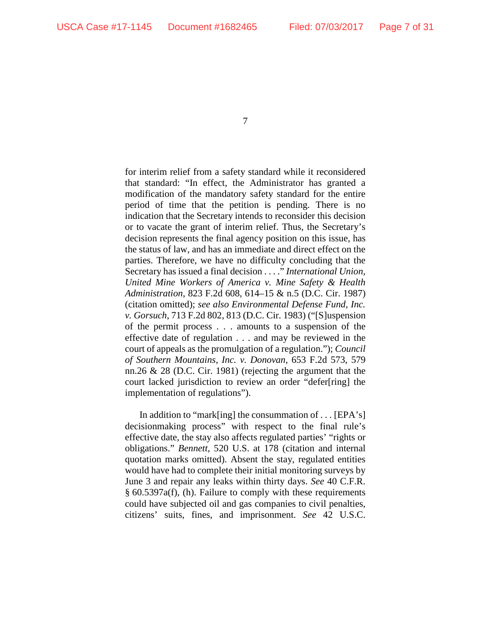for interim relief from a safety standard while it reconsidered that standard: "In effect, the Administrator has granted a modification of the mandatory safety standard for the entire period of time that the petition is pending. There is no indication that the Secretary intends to reconsider this decision or to vacate the grant of interim relief. Thus, the Secretary's decision represents the final agency position on this issue, has the status of law, and has an immediate and direct effect on the parties. Therefore, we have no difficulty concluding that the Secretary has issued a final decision . . . ." *International Union, United Mine Workers of America v. Mine Safety & Health Administration*, 823 F.2d 608, 614–15 & n.5 (D.C. Cir. 1987) (citation omitted); *see also Environmental Defense Fund, Inc. v. Gorsuch*, 713 F.2d 802, 813 (D.C. Cir. 1983) ("[S]uspension of the permit process . . . amounts to a suspension of the effective date of regulation . . . and may be reviewed in the court of appeals as the promulgation of a regulation."); *Council of Southern Mountains, Inc. v. Donovan*, 653 F.2d 573, 579 nn.26 & 28 (D.C. Cir. 1981) (rejecting the argument that the court lacked jurisdiction to review an order "defer[ring] the implementation of regulations").

In addition to "mark[ing] the consummation of . . . [EPA's] decisionmaking process" with respect to the final rule's effective date, the stay also affects regulated parties' "rights or obligations." *Bennett*, 520 U.S. at 178 (citation and internal quotation marks omitted). Absent the stay, regulated entities would have had to complete their initial monitoring surveys by June 3 and repair any leaks within thirty days. *See* 40 C.F.R. § 60.5397a(f), (h). Failure to comply with these requirements could have subjected oil and gas companies to civil penalties, citizens' suits, fines, and imprisonment. *See* 42 U.S.C.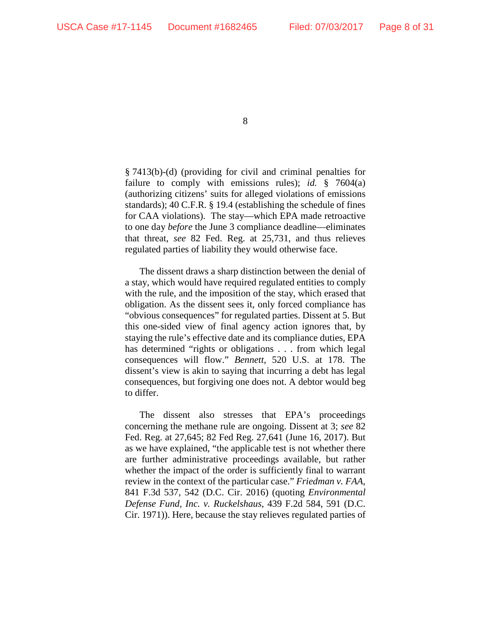§ 7413(b)-(d) (providing for civil and criminal penalties for failure to comply with emissions rules); *id.* § 7604(a) (authorizing citizens' suits for alleged violations of emissions standards); 40 C.F.R. § 19.4 (establishing the schedule of fines for CAA violations). The stay—which EPA made retroactive to one day *before* the June 3 compliance deadline—eliminates that threat, *see* 82 Fed. Reg. at 25,731, and thus relieves regulated parties of liability they would otherwise face.

The dissent draws a sharp distinction between the denial of a stay, which would have required regulated entities to comply with the rule, and the imposition of the stay, which erased that obligation. As the dissent sees it, only forced compliance has "obvious consequences" for regulated parties. Dissent at 5. But this one-sided view of final agency action ignores that, by staying the rule's effective date and its compliance duties, EPA has determined "rights or obligations . . . from which legal consequences will flow." *Bennett*, 520 U.S. at 178. The dissent's view is akin to saying that incurring a debt has legal consequences, but forgiving one does not. A debtor would beg to differ.

The dissent also stresses that EPA's proceedings concerning the methane rule are ongoing. Dissent at 3; *see* 82 Fed. Reg. at 27,645; 82 Fed Reg. 27,641 (June 16, 2017). But as we have explained, "the applicable test is not whether there are further administrative proceedings available, but rather whether the impact of the order is sufficiently final to warrant review in the context of the particular case." *Friedman v. FAA*, 841 F.3d 537, 542 (D.C. Cir. 2016) (quoting *Environmental Defense Fund, Inc. v. Ruckelshaus*, 439 F.2d 584, 591 (D.C. Cir. 1971)). Here, because the stay relieves regulated parties of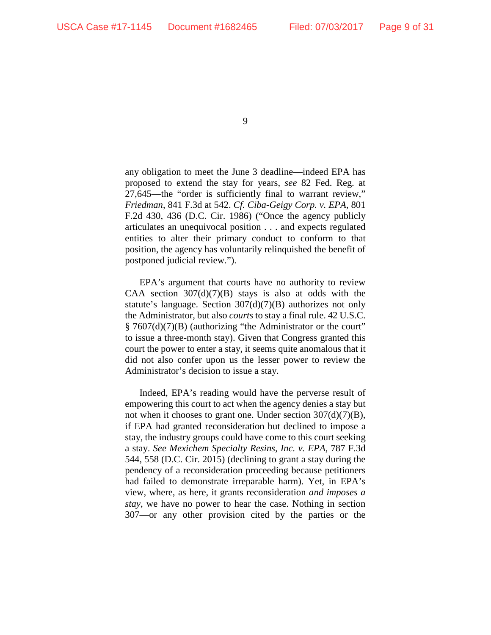any obligation to meet the June 3 deadline—indeed EPA has proposed to extend the stay for years, *see* 82 Fed. Reg. at 27,645—the "order is sufficiently final to warrant review," *Friedman*, 841 F.3d at 542. *Cf. Ciba-Geigy Corp. v. EPA*, 801 F.2d 430, 436 (D.C. Cir. 1986) ("Once the agency publicly articulates an unequivocal position . . . and expects regulated entities to alter their primary conduct to conform to that position, the agency has voluntarily relinquished the benefit of postponed judicial review.").

EPA's argument that courts have no authority to review CAA section  $307(d)(7)(B)$  stays is also at odds with the statute's language. Section 307(d)(7)(B) authorizes not only the Administrator, but also *courts* to stay a final rule. 42 U.S.C. § 7607(d)(7)(B) (authorizing "the Administrator or the court" to issue a three-month stay). Given that Congress granted this court the power to enter a stay, it seems quite anomalous that it did not also confer upon us the lesser power to review the Administrator's decision to issue a stay.

Indeed, EPA's reading would have the perverse result of empowering this court to act when the agency denies a stay but not when it chooses to grant one. Under section  $307(d)(7)(B)$ , if EPA had granted reconsideration but declined to impose a stay, the industry groups could have come to this court seeking a stay. *See Mexichem Specialty Resins, Inc. v. EPA*, 787 F.3d 544, 558 (D.C. Cir. 2015) (declining to grant a stay during the pendency of a reconsideration proceeding because petitioners had failed to demonstrate irreparable harm). Yet, in EPA's view, where, as here, it grants reconsideration *and imposes a stay*, we have no power to hear the case. Nothing in section 307—or any other provision cited by the parties or the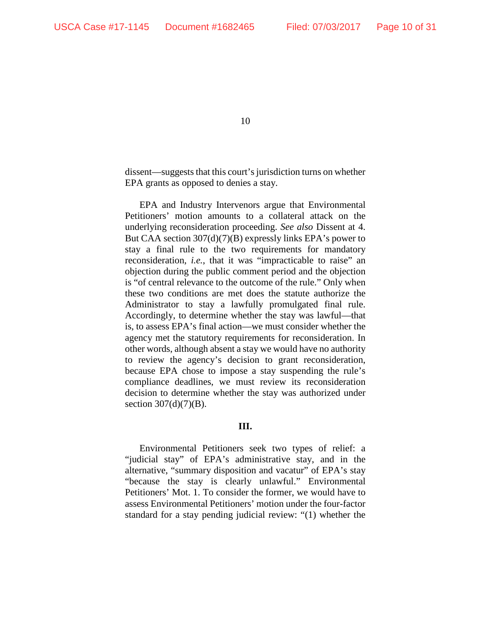dissent—suggests that this court's jurisdiction turns on whether EPA grants as opposed to denies a stay.

EPA and Industry Intervenors argue that Environmental Petitioners' motion amounts to a collateral attack on the underlying reconsideration proceeding. *See also* Dissent at 4. But CAA section 307(d)(7)(B) expressly links EPA's power to stay a final rule to the two requirements for mandatory reconsideration, *i.e.*, that it was "impracticable to raise" an objection during the public comment period and the objection is "of central relevance to the outcome of the rule." Only when these two conditions are met does the statute authorize the Administrator to stay a lawfully promulgated final rule. Accordingly, to determine whether the stay was lawful—that is, to assess EPA's final action—we must consider whether the agency met the statutory requirements for reconsideration. In other words, although absent a stay we would have no authority to review the agency's decision to grant reconsideration, because EPA chose to impose a stay suspending the rule's compliance deadlines, we must review its reconsideration decision to determine whether the stay was authorized under section  $307(d)(7)(B)$ .

### **III.**

Environmental Petitioners seek two types of relief: a "judicial stay" of EPA's administrative stay, and in the alternative, "summary disposition and vacatur" of EPA's stay "because the stay is clearly unlawful." Environmental Petitioners' Mot. 1. To consider the former, we would have to assess Environmental Petitioners' motion under the four-factor standard for a stay pending judicial review: "(1) whether the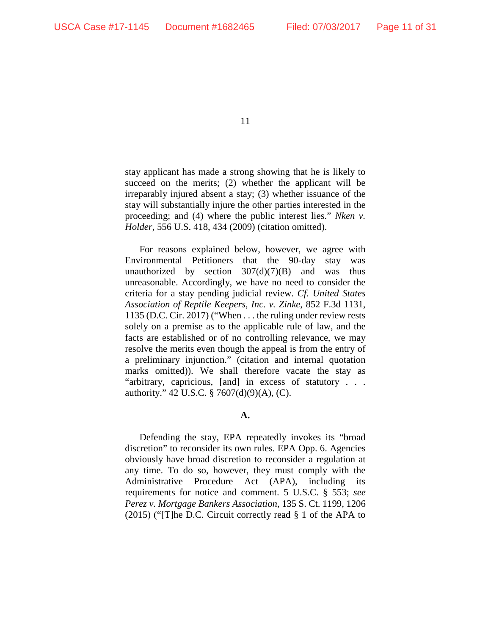stay applicant has made a strong showing that he is likely to succeed on the merits; (2) whether the applicant will be irreparably injured absent a stay; (3) whether issuance of the stay will substantially injure the other parties interested in the proceeding; and (4) where the public interest lies." *Nken v. Holder*, 556 U.S. 418, 434 (2009) (citation omitted).

For reasons explained below, however, we agree with Environmental Petitioners that the 90-day stay was unauthorized by section  $307(d)(7)(B)$  and was thus unreasonable. Accordingly, we have no need to consider the criteria for a stay pending judicial review. *Cf. United States Association of Reptile Keepers, Inc. v. Zinke*, 852 F.3d 1131, 1135 (D.C. Cir. 2017) ("When . . . the ruling under review rests solely on a premise as to the applicable rule of law, and the facts are established or of no controlling relevance, we may resolve the merits even though the appeal is from the entry of a preliminary injunction." (citation and internal quotation marks omitted)). We shall therefore vacate the stay as "arbitrary, capricious, [and] in excess of statutory . . . authority." 42 U.S.C. § 7607(d)(9)(A), (C).

# **A.**

Defending the stay, EPA repeatedly invokes its "broad discretion" to reconsider its own rules. EPA Opp. 6. Agencies obviously have broad discretion to reconsider a regulation at any time. To do so, however, they must comply with the Administrative Procedure Act (APA), including its requirements for notice and comment. 5 U.S.C. § 553; *see Perez v. Mortgage Bankers Association*, 135 S. Ct. 1199, 1206 (2015) ("[T]he D.C. Circuit correctly read § 1 of the APA to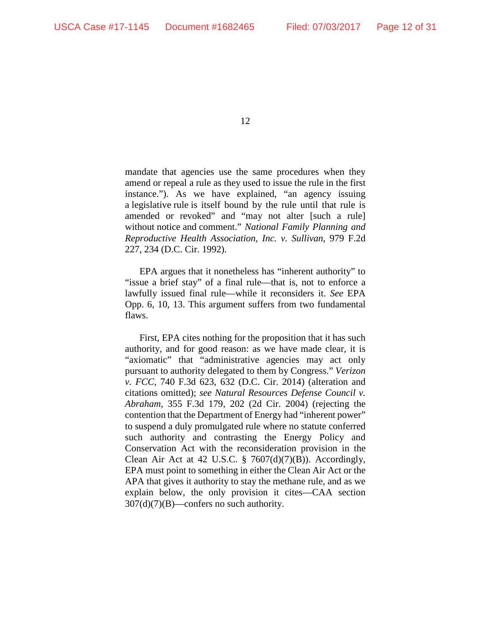mandate that agencies use the same procedures when they amend or repeal a rule as they used to issue the rule in the first instance."). As we have explained, "an agency issuing a legislative rule is itself bound by the rule until that rule is amended or revoked" and "may not alter [such a rule] without notice and comment." *National Family Planning and Reproductive Health Association, Inc. v. Sullivan*, 979 F.2d 227, 234 (D.C. Cir. 1992).

EPA argues that it nonetheless has "inherent authority" to "issue a brief stay" of a final rule—that is, not to enforce a lawfully issued final rule—while it reconsiders it. *See* EPA Opp. 6, 10, 13. This argument suffers from two fundamental flaws.

First, EPA cites nothing for the proposition that it has such authority, and for good reason: as we have made clear, it is "axiomatic" that "administrative agencies may act only pursuant to authority delegated to them by Congress." *Verizon v. FCC*, 740 F.3d 623, 632 (D.C. Cir. 2014) (alteration and citations omitted); *see Natural Resources Defense Council v. Abraham*, 355 F.3d 179, 202 (2d Cir. 2004) (rejecting the contention that the Department of Energy had "inherent power" to suspend a duly promulgated rule where no statute conferred such authority and contrasting the Energy Policy and Conservation Act with the reconsideration provision in the Clean Air Act at 42 U.S.C. §  $7607(d)(7)(B)$ ). Accordingly, EPA must point to something in either the Clean Air Act or the APA that gives it authority to stay the methane rule, and as we explain below, the only provision it cites—CAA section  $307(d)(7)(B)$ —confers no such authority.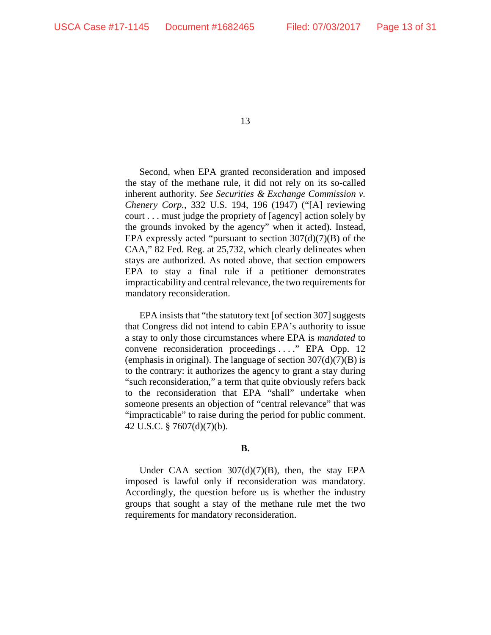Second, when EPA granted reconsideration and imposed the stay of the methane rule, it did not rely on its so-called inherent authority. *See Securities & Exchange Commission v. Chenery Corp.*, 332 U.S. 194, 196 (1947) ("[A] reviewing court . . . must judge the propriety of [agency] action solely by the grounds invoked by the agency" when it acted). Instead, EPA expressly acted "pursuant to section  $307(d)(7)(B)$  of the CAA," 82 Fed. Reg. at 25,732, which clearly delineates when stays are authorized. As noted above, that section empowers EPA to stay a final rule if a petitioner demonstrates impracticability and central relevance, the two requirements for mandatory reconsideration.

EPA insists that "the statutory text [of section 307] suggests that Congress did not intend to cabin EPA's authority to issue a stay to only those circumstances where EPA is *mandated* to convene reconsideration proceedings . . . ." EPA Opp. 12 (emphasis in original). The language of section  $307(d)(7)(B)$  is to the contrary: it authorizes the agency to grant a stay during "such reconsideration," a term that quite obviously refers back to the reconsideration that EPA "shall" undertake when someone presents an objection of "central relevance" that was "impracticable" to raise during the period for public comment. 42 U.S.C. § 7607(d)(7)(b).

### **B.**

Under CAA section  $307(d)(7)(B)$ , then, the stay EPA imposed is lawful only if reconsideration was mandatory. Accordingly, the question before us is whether the industry groups that sought a stay of the methane rule met the two requirements for mandatory reconsideration.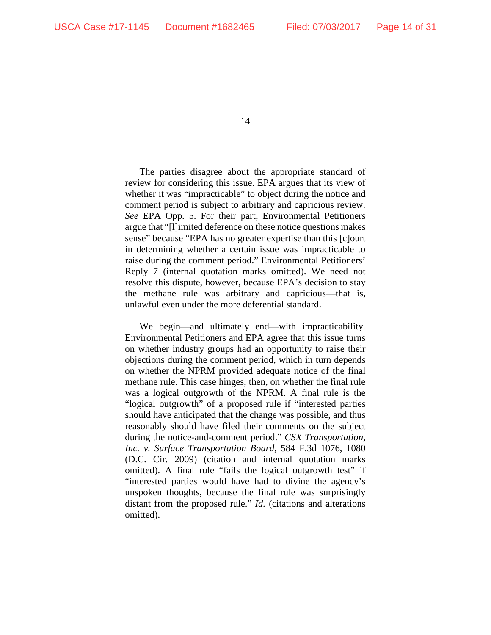The parties disagree about the appropriate standard of review for considering this issue. EPA argues that its view of whether it was "impracticable" to object during the notice and comment period is subject to arbitrary and capricious review. *See* EPA Opp. 5. For their part, Environmental Petitioners argue that "[l]imited deference on these notice questions makes sense" because "EPA has no greater expertise than this [c]ourt in determining whether a certain issue was impracticable to raise during the comment period." Environmental Petitioners' Reply 7 (internal quotation marks omitted). We need not resolve this dispute, however, because EPA's decision to stay the methane rule was arbitrary and capricious—that is, unlawful even under the more deferential standard.

We begin—and ultimately end—with impracticability. Environmental Petitioners and EPA agree that this issue turns on whether industry groups had an opportunity to raise their objections during the comment period, which in turn depends on whether the NPRM provided adequate notice of the final methane rule. This case hinges, then, on whether the final rule was a logical outgrowth of the NPRM. A final rule is the "logical outgrowth" of a proposed rule if "interested parties should have anticipated that the change was possible, and thus reasonably should have filed their comments on the subject during the notice-and-comment period." *CSX Transportation, Inc. v. Surface Transportation Board*, 584 F.3d 1076, 1080 (D.C. Cir. 2009) (citation and internal quotation marks omitted). A final rule "fails the logical outgrowth test" if "interested parties would have had to divine the agency's unspoken thoughts, because the final rule was surprisingly distant from the proposed rule." *Id.* (citations and alterations omitted).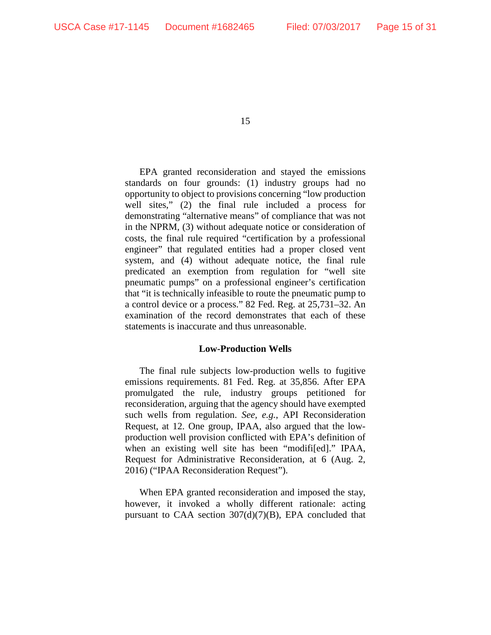EPA granted reconsideration and stayed the emissions standards on four grounds: (1) industry groups had no opportunity to object to provisions concerning "low production well sites," (2) the final rule included a process for demonstrating "alternative means" of compliance that was not in the NPRM, (3) without adequate notice or consideration of costs, the final rule required "certification by a professional engineer" that regulated entities had a proper closed vent system, and (4) without adequate notice, the final rule predicated an exemption from regulation for "well site pneumatic pumps" on a professional engineer's certification that "it is technically infeasible to route the pneumatic pump to a control device or a process." 82 Fed. Reg. at 25,731–32. An examination of the record demonstrates that each of these statements is inaccurate and thus unreasonable.

## **Low-Production Wells**

The final rule subjects low-production wells to fugitive emissions requirements. 81 Fed. Reg. at 35,856. After EPA promulgated the rule, industry groups petitioned for reconsideration, arguing that the agency should have exempted such wells from regulation. *See, e.g.*, API Reconsideration Request, at 12. One group, IPAA, also argued that the lowproduction well provision conflicted with EPA's definition of when an existing well site has been "modifi[ed]." IPAA, Request for Administrative Reconsideration, at 6 (Aug. 2, 2016) ("IPAA Reconsideration Request").

When EPA granted reconsideration and imposed the stay, however, it invoked a wholly different rationale: acting pursuant to CAA section  $307(d)(7)(B)$ , EPA concluded that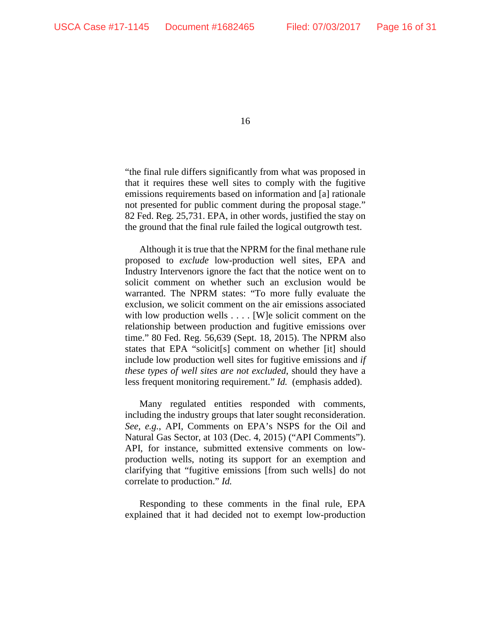"the final rule differs significantly from what was proposed in that it requires these well sites to comply with the fugitive emissions requirements based on information and [a] rationale not presented for public comment during the proposal stage." 82 Fed. Reg. 25,731. EPA, in other words, justified the stay on the ground that the final rule failed the logical outgrowth test.

Although it is true that the NPRM for the final methane rule proposed to *exclude* low-production well sites, EPA and Industry Intervenors ignore the fact that the notice went on to solicit comment on whether such an exclusion would be warranted. The NPRM states: "To more fully evaluate the exclusion, we solicit comment on the air emissions associated with low production wells . . . . [W] e solicit comment on the relationship between production and fugitive emissions over time." 80 Fed. Reg. 56,639 (Sept. 18, 2015). The NPRM also states that EPA "solicit[s] comment on whether [it] should include low production well sites for fugitive emissions and *if these types of well sites are not excluded*, should they have a less frequent monitoring requirement." *Id.* (emphasis added).

Many regulated entities responded with comments, including the industry groups that later sought reconsideration. *See, e.g.*, API, Comments on EPA's NSPS for the Oil and Natural Gas Sector, at 103 (Dec. 4, 2015) ("API Comments"). API, for instance, submitted extensive comments on lowproduction wells, noting its support for an exemption and clarifying that "fugitive emissions [from such wells] do not correlate to production." *Id.*

Responding to these comments in the final rule, EPA explained that it had decided not to exempt low-production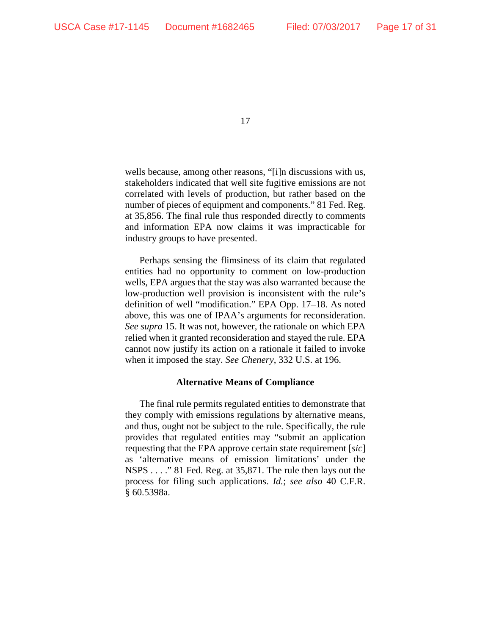wells because, among other reasons, "[i]n discussions with us, stakeholders indicated that well site fugitive emissions are not correlated with levels of production, but rather based on the number of pieces of equipment and components." 81 Fed. Reg. at 35,856. The final rule thus responded directly to comments and information EPA now claims it was impracticable for industry groups to have presented.

Perhaps sensing the flimsiness of its claim that regulated entities had no opportunity to comment on low-production wells, EPA argues that the stay was also warranted because the low-production well provision is inconsistent with the rule's definition of well "modification." EPA Opp. 17–18. As noted above, this was one of IPAA's arguments for reconsideration. *See supra* 15. It was not, however, the rationale on which EPA relied when it granted reconsideration and stayed the rule. EPA cannot now justify its action on a rationale it failed to invoke when it imposed the stay. *See Chenery*, 332 U.S. at 196.

#### **Alternative Means of Compliance**

The final rule permits regulated entities to demonstrate that they comply with emissions regulations by alternative means, and thus, ought not be subject to the rule. Specifically, the rule provides that regulated entities may "submit an application requesting that the EPA approve certain state requirement [*sic*] as 'alternative means of emission limitations' under the NSPS . . . ." 81 Fed. Reg. at 35,871. The rule then lays out the process for filing such applications. *Id.*; *see also* 40 C.F.R. § 60.5398a.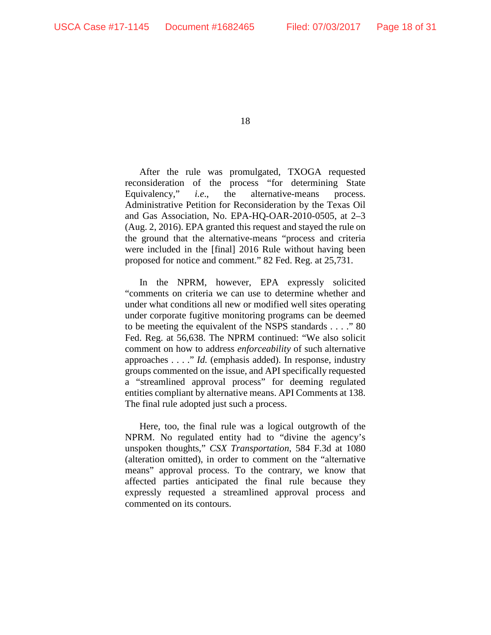After the rule was promulgated, TXOGA requested reconsideration of the process "for determining State Equivalency," *i.e*., the alternative-means process. Administrative Petition for Reconsideration by the Texas Oil and Gas Association, No. EPA-HQ-OAR-2010-0505, at 2–3 (Aug. 2, 2016). EPA granted this request and stayed the rule on the ground that the alternative-means "process and criteria were included in the [final] 2016 Rule without having been proposed for notice and comment." 82 Fed. Reg. at 25,731.

In the NPRM, however, EPA expressly solicited "comments on criteria we can use to determine whether and under what conditions all new or modified well sites operating under corporate fugitive monitoring programs can be deemed to be meeting the equivalent of the NSPS standards . . . ." 80 Fed. Reg. at 56,638. The NPRM continued: "We also solicit comment on how to address *enforceability* of such alternative approaches . . . ." *Id.* (emphasis added). In response, industry groups commented on the issue, and API specifically requested a "streamlined approval process" for deeming regulated entities compliant by alternative means. API Comments at 138. The final rule adopted just such a process.

Here, too, the final rule was a logical outgrowth of the NPRM. No regulated entity had to "divine the agency's unspoken thoughts," *CSX Transportation*, 584 F.3d at 1080 (alteration omitted), in order to comment on the "alternative means" approval process. To the contrary, we know that affected parties anticipated the final rule because they expressly requested a streamlined approval process and commented on its contours.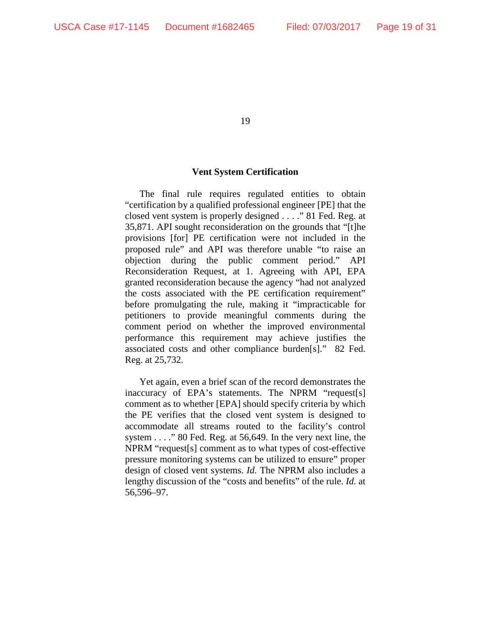# **Vent System Certification**

The final rule requires regulated entities to obtain "certification by a qualified professional engineer [PE] that the closed vent system is properly designed . . . ." 81 Fed. Reg. at 35,871. API sought reconsideration on the grounds that "[t]he provisions [for] PE certification were not included in the proposed rule" and API was therefore unable "to raise an objection during the public comment period." API Reconsideration Request, at 1. Agreeing with API, EPA granted reconsideration because the agency "had not analyzed the costs associated with the PE certification requirement" before promulgating the rule, making it "impracticable for petitioners to provide meaningful comments during the comment period on whether the improved environmental performance this requirement may achieve justifies the associated costs and other compliance burden[s]." 82 Fed. Reg. at 25,732.

Yet again, even a brief scan of the record demonstrates the inaccuracy of EPA's statements. The NPRM "request[s] comment as to whether [EPA] should specify criteria by which the PE verifies that the closed vent system is designed to accommodate all streams routed to the facility's control system . . . ." 80 Fed. Reg. at 56,649. In the very next line, the NPRM "request[s] comment as to what types of cost-effective pressure monitoring systems can be utilized to ensure" proper design of closed vent systems. *Id.* The NPRM also includes a lengthy discussion of the "costs and benefits" of the rule. *Id.* at 56,596–97.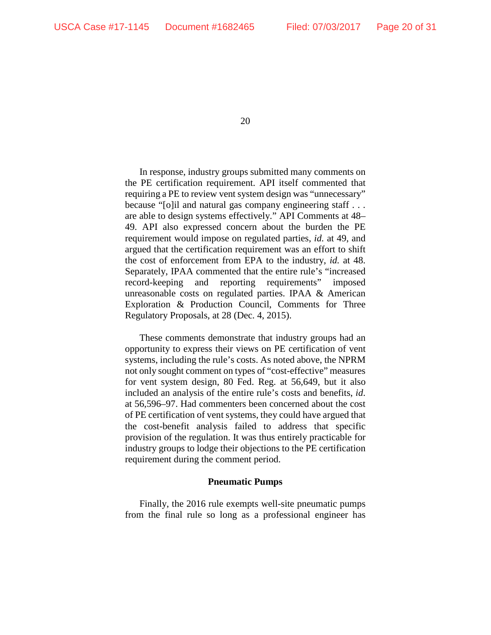In response, industry groups submitted many comments on the PE certification requirement. API itself commented that requiring a PE to review vent system design was "unnecessary" because "[o]il and natural gas company engineering staff . . . are able to design systems effectively." API Comments at 48– 49. API also expressed concern about the burden the PE requirement would impose on regulated parties, *id.* at 49, and argued that the certification requirement was an effort to shift the cost of enforcement from EPA to the industry, *id.* at 48. Separately, IPAA commented that the entire rule's "increased record-keeping and reporting requirements" imposed unreasonable costs on regulated parties. IPAA & American Exploration & Production Council, Comments for Three Regulatory Proposals, at 28 (Dec. 4, 2015).

These comments demonstrate that industry groups had an opportunity to express their views on PE certification of vent systems, including the rule's costs. As noted above, the NPRM not only sought comment on types of "cost-effective" measures for vent system design, 80 Fed. Reg. at 56,649, but it also included an analysis of the entire rule's costs and benefits, *id*. at 56,596–97. Had commenters been concerned about the cost of PE certification of vent systems, they could have argued that the cost-benefit analysis failed to address that specific provision of the regulation. It was thus entirely practicable for industry groups to lodge their objections to the PE certification requirement during the comment period.

#### **Pneumatic Pumps**

Finally, the 2016 rule exempts well-site pneumatic pumps from the final rule so long as a professional engineer has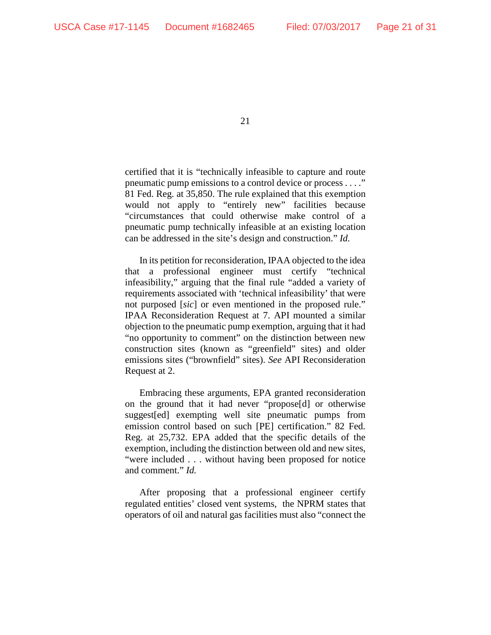certified that it is "technically infeasible to capture and route pneumatic pump emissions to a control device or process . . . ." 81 Fed. Reg. at 35,850. The rule explained that this exemption would not apply to "entirely new" facilities because "circumstances that could otherwise make control of a pneumatic pump technically infeasible at an existing location can be addressed in the site's design and construction." *Id.*

In its petition for reconsideration, IPAA objected to the idea that a professional engineer must certify "technical infeasibility," arguing that the final rule "added a variety of requirements associated with 'technical infeasibility' that were not purposed [*sic*] or even mentioned in the proposed rule." IPAA Reconsideration Request at 7. API mounted a similar objection to the pneumatic pump exemption, arguing that it had "no opportunity to comment" on the distinction between new construction sites (known as "greenfield" sites) and older emissions sites ("brownfield" sites). *See* API Reconsideration Request at 2.

Embracing these arguments, EPA granted reconsideration on the ground that it had never "propose[d] or otherwise suggest[ed] exempting well site pneumatic pumps from emission control based on such [PE] certification." 82 Fed. Reg. at 25,732. EPA added that the specific details of the exemption, including the distinction between old and new sites, "were included . . . without having been proposed for notice and comment." *Id.* 

After proposing that a professional engineer certify regulated entities' closed vent systems, the NPRM states that operators of oil and natural gas facilities must also "connect the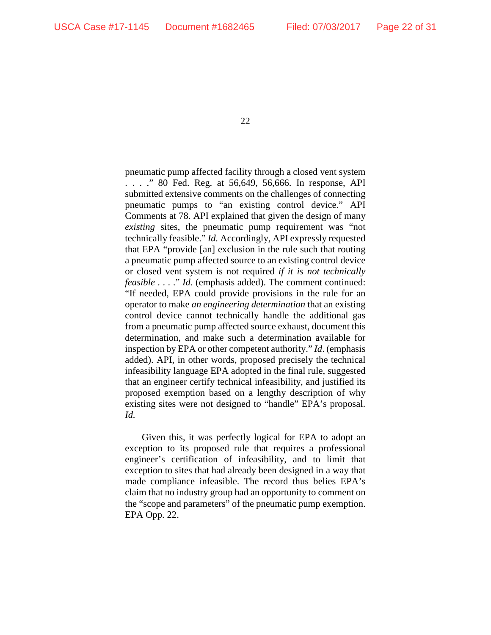pneumatic pump affected facility through a closed vent system . . . ." 80 Fed. Reg. at 56,649, 56,666. In response, API submitted extensive comments on the challenges of connecting pneumatic pumps to "an existing control device." API Comments at 78. API explained that given the design of many *existing* sites, the pneumatic pump requirement was "not technically feasible." *Id.* Accordingly, API expressly requested that EPA "provide [an] exclusion in the rule such that routing a pneumatic pump affected source to an existing control device or closed vent system is not required *if it is not technically feasible* . . . ." *Id.* (emphasis added). The comment continued: "If needed, EPA could provide provisions in the rule for an operator to make *an engineering determination* that an existing control device cannot technically handle the additional gas from a pneumatic pump affected source exhaust, document this determination, and make such a determination available for inspection by EPA or other competent authority." *Id*. (emphasis added). API, in other words, proposed precisely the technical infeasibility language EPA adopted in the final rule, suggested that an engineer certify technical infeasibility, and justified its proposed exemption based on a lengthy description of why existing sites were not designed to "handle" EPA's proposal. *Id.*

Given this, it was perfectly logical for EPA to adopt an exception to its proposed rule that requires a professional engineer's certification of infeasibility, and to limit that exception to sites that had already been designed in a way that made compliance infeasible. The record thus belies EPA's claim that no industry group had an opportunity to comment on the "scope and parameters" of the pneumatic pump exemption. EPA Opp. 22.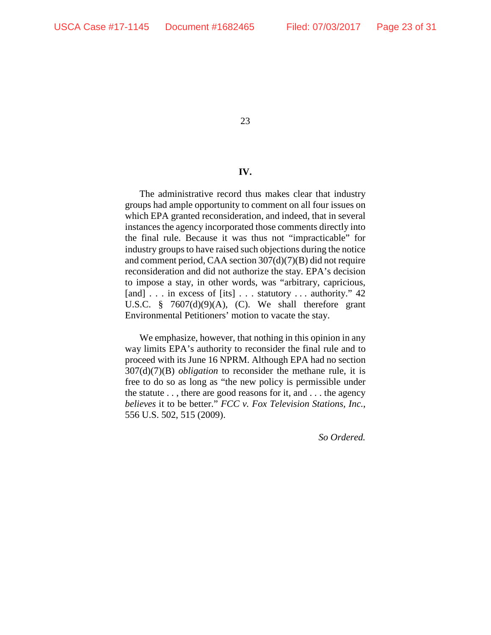### **IV.**

The administrative record thus makes clear that industry groups had ample opportunity to comment on all four issues on which EPA granted reconsideration, and indeed, that in several instances the agency incorporated those comments directly into the final rule. Because it was thus not "impracticable" for industry groups to have raised such objections during the notice and comment period, CAA section 307(d)(7)(B) did not require reconsideration and did not authorize the stay. EPA's decision to impose a stay, in other words, was "arbitrary, capricious, [and] . . . in excess of [its] . . . statutory . . . authority." 42 U.S.C.  $\frac{8}{9}$  7607(d)(9)(A), (C). We shall therefore grant Environmental Petitioners' motion to vacate the stay.

We emphasize, however, that nothing in this opinion in any way limits EPA's authority to reconsider the final rule and to proceed with its June 16 NPRM. Although EPA had no section 307(d)(7)(B) *obligation* to reconsider the methane rule, it is free to do so as long as "the new policy is permissible under the statute . . , there are good reasons for it, and . . . the agency *believes* it to be better." *FCC v. Fox Television Stations, Inc.*, 556 U.S. 502, 515 (2009).

*So Ordered.*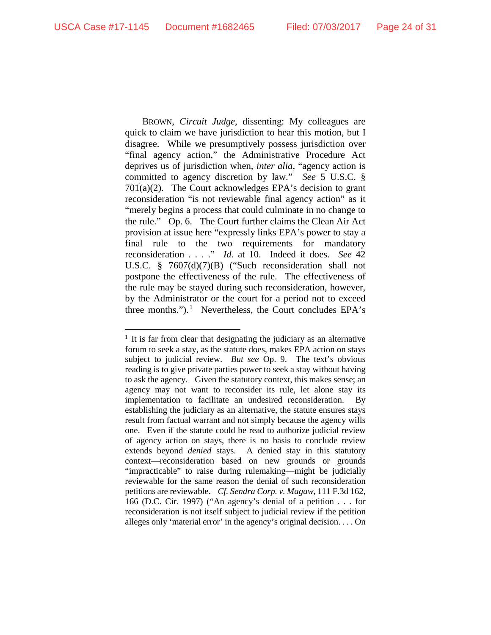BROWN, *Circuit Judge*, dissenting: My colleagues are quick to claim we have jurisdiction to hear this motion, but I disagree. While we presumptively possess jurisdiction over "final agency action," the Administrative Procedure Act deprives us of jurisdiction when, *inter alia*, "agency action is committed to agency discretion by law." *See* 5 U.S.C. § 701(a)(2). The Court acknowledges EPA's decision to grant reconsideration "is not reviewable final agency action" as it "merely begins a process that could culminate in no change to the rule." Op. 6. The Court further claims the Clean Air Act provision at issue here "expressly links EPA's power to stay a final rule to the two requirements for mandatory reconsideration . . . ." *Id.* at 10. Indeed it does. *See* 42 U.S.C. § 7607(d)(7)(B) ("Such reconsideration shall not postpone the effectiveness of the rule. The effectiveness of the rule may be stayed during such reconsideration, however, by the Administrator or the court for a period not to exceed three months.").<sup>[1](#page-23-0)</sup> Nevertheless, the Court concludes EPA's

<span id="page-23-0"></span> $1$  It is far from clear that designating the judiciary as an alternative forum to seek a stay, as the statute does, makes EPA action on stays subject to judicial review. *But see* Op. 9. The text's obvious reading is to give private parties power to seek a stay without having to ask the agency. Given the statutory context, this makes sense; an agency may not want to reconsider its rule, let alone stay its implementation to facilitate an undesired reconsideration. By establishing the judiciary as an alternative, the statute ensures stays result from factual warrant and not simply because the agency wills one. Even if the statute could be read to authorize judicial review of agency action on stays, there is no basis to conclude review extends beyond *denied* stays. A denied stay in this statutory context—reconsideration based on new grounds or grounds "impracticable" to raise during rulemaking—might be judicially reviewable for the same reason the denial of such reconsideration petitions are reviewable. *Cf. Sendra Corp. v. Magaw*, 111 F.3d 162, 166 (D.C. Cir. 1997) ("An agency's denial of a petition . . . for reconsideration is not itself subject to judicial review if the petition alleges only 'material error' in the agency's original decision. . . . On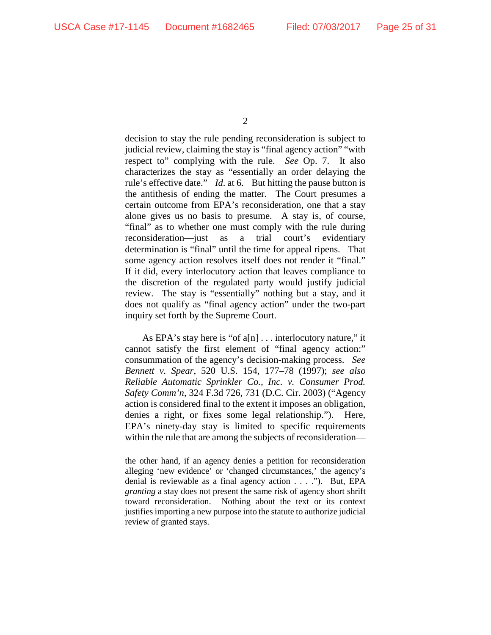$\overline{a}$ 

decision to stay the rule pending reconsideration is subject to judicial review, claiming the stay is "final agency action" "with respect to" complying with the rule. *See* Op. 7. It also characterizes the stay as "essentially an order delaying the rule's effective date." *Id.* at 6. But hitting the pause button is the antithesis of ending the matter. The Court presumes a certain outcome from EPA's reconsideration, one that a stay alone gives us no basis to presume. A stay is, of course, "final" as to whether one must comply with the rule during reconsideration—just as a trial court's evidentiary determination is "final" until the time for appeal ripens. That some agency action resolves itself does not render it "final." If it did, every interlocutory action that leaves compliance to the discretion of the regulated party would justify judicial review. The stay is "essentially" nothing but a stay, and it does not qualify as "final agency action" under the two-part inquiry set forth by the Supreme Court.

As EPA's stay here is "of a[n] . . . interlocutory nature," it cannot satisfy the first element of "final agency action:" consummation of the agency's decision-making process. *See Bennett v. Spear*, 520 U.S. 154, 177–78 (1997); *see also Reliable Automatic Sprinkler Co., Inc. v. Consumer Prod. Safety Comm'n*, 324 F.3d 726, 731 (D.C. Cir. 2003) ("Agency action is considered final to the extent it imposes an obligation, denies a right, or fixes some legal relationship."). Here, EPA's ninety-day stay is limited to specific requirements within the rule that are among the subjects of reconsideration—

<sup>2</sup>

the other hand, if an agency denies a petition for reconsideration alleging 'new evidence' or 'changed circumstances,' the agency's denial is reviewable as a final agency action . . . ."). But, EPA *granting* a stay does not present the same risk of agency short shrift toward reconsideration. Nothing about the text or its context justifies importing a new purpose into the statute to authorize judicial review of granted stays.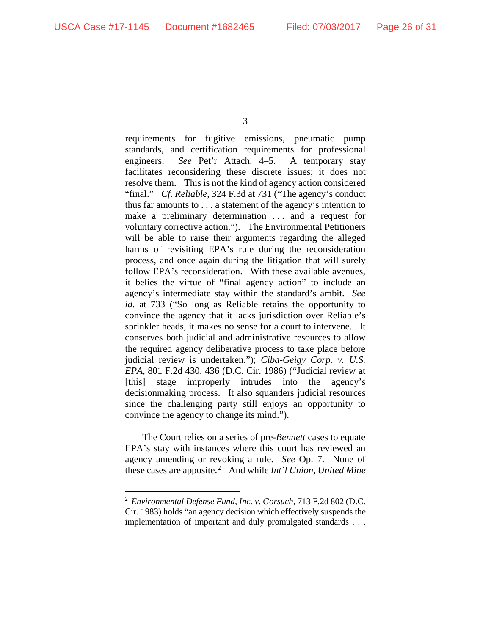requirements for fugitive emissions, pneumatic pump standards, and certification requirements for professional engineers. *See* Pet'r Attach. 4–5. A temporary stay facilitates reconsidering these discrete issues; it does not resolve them. This is not the kind of agency action considered "final." *Cf. Reliable*, 324 F.3d at 731 ("The agency's conduct thus far amounts to . . . a statement of the agency's intention to make a preliminary determination ... and a request for voluntary corrective action."). The Environmental Petitioners will be able to raise their arguments regarding the alleged harms of revisiting EPA's rule during the reconsideration process, and once again during the litigation that will surely follow EPA's reconsideration. With these available avenues, it belies the virtue of "final agency action" to include an agency's intermediate stay within the standard's ambit. *See id.* at 733 ("So long as Reliable retains the opportunity to convince the agency that it lacks jurisdiction over Reliable's sprinkler heads, it makes no sense for a court to intervene. It conserves both judicial and administrative resources to allow the required agency deliberative process to take place before judicial review is undertaken."); *Ciba-Geigy Corp. v. U.S. EPA*, 801 F.2d 430, 436 (D.C. Cir. 1986) ("Judicial review at [this] stage improperly intrudes into the agency's decisionmaking process. It also squanders judicial resources since the challenging party still enjoys an opportunity to convince the agency to change its mind.").

The Court relies on a series of pre-*Bennett* cases to equate EPA's stay with instances where this court has reviewed an agency amending or revoking a rule. *See* Op. 7. None of these cases are apposite.[2](#page-25-0) And while *Int'l Union, United Mine* 

<span id="page-25-0"></span> <sup>2</sup> *Environmental Defense Fund, Inc. v. Gorsuch*, 713 F.2d 802 (D.C. Cir. 1983) holds "an agency decision which effectively suspends the implementation of important and duly promulgated standards . . .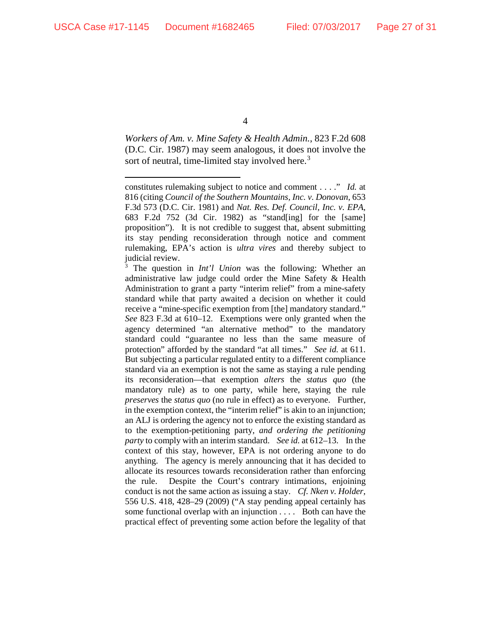$\overline{a}$ 

4

*Workers of Am. v. Mine Safety & Health Admin.*, 823 F.2d 608 (D.C. Cir. 1987) may seem analogous, it does not involve the sort of neutral, time-limited stay involved here.<sup>[3](#page-26-0)</sup>

<span id="page-26-0"></span>The question in *Int'l Union* was the following: Whether an administrative law judge could order the Mine Safety & Health Administration to grant a party "interim relief" from a mine-safety standard while that party awaited a decision on whether it could receive a "mine-specific exemption from [the] mandatory standard." *See* 823 F.3d at 610–12. Exemptions were only granted when the agency determined "an alternative method" to the mandatory standard could "guarantee no less than the same measure of protection" afforded by the standard "at all times." *See id.* at 611. But subjecting a particular regulated entity to a different compliance standard via an exemption is not the same as staying a rule pending its reconsideration—that exemption *alters* the *status quo* (the mandatory rule) as to one party, while here, staying the rule *preserves* the *status quo* (no rule in effect) as to everyone. Further, in the exemption context, the "interim relief" is akin to an injunction; an ALJ is ordering the agency not to enforce the existing standard as to the exemption-petitioning party, *and ordering the petitioning party* to comply with an interim standard. *See id.* at 612–13. In the context of this stay, however, EPA is not ordering anyone to do anything. The agency is merely announcing that it has decided to allocate its resources towards reconsideration rather than enforcing the rule. Despite the Court's contrary intimations, enjoining conduct is not the same action as issuing a stay. *Cf. Nken v. Holder*, 556 U.S. 418, 428–29 (2009) ("A stay pending appeal certainly has some functional overlap with an injunction . . . . Both can have the practical effect of preventing some action before the legality of that

constitutes rulemaking subject to notice and comment . . . ." *Id.* at 816 (citing *Council of the Southern Mountains, Inc. v. Donovan*, 653 F.3d 573 (D.C. Cir. 1981) and *Nat. Res. Def. Council, Inc. v. EPA*, 683 F.2d 752 (3d Cir. 1982) as "stand[ing] for the [same] proposition"). It is not credible to suggest that, absent submitting its stay pending reconsideration through notice and comment rulemaking, EPA's action is *ultra vires* and thereby subject to judicial review.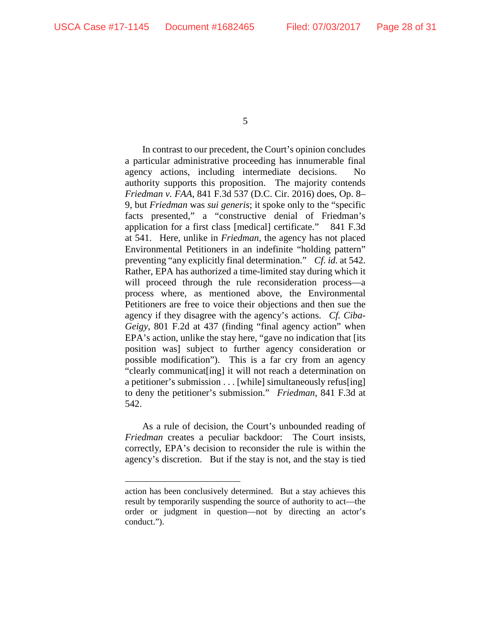$\overline{a}$ 

5

In contrast to our precedent, the Court's opinion concludes a particular administrative proceeding has innumerable final agency actions, including intermediate decisions. No authority supports this proposition. The majority contends *Friedman v. FAA*, 841 F.3d 537 (D.C. Cir. 2016) does, Op. 8– 9, but *Friedman* was *sui generis*; it spoke only to the "specific facts presented," a "constructive denial of Friedman's application for a first class [medical] certificate." 841 F.3d at 541. Here, unlike in *Friedman*, the agency has not placed Environmental Petitioners in an indefinite "holding pattern" preventing "any explicitly final determination." *Cf. id.* at 542. Rather, EPA has authorized a time-limited stay during which it will proceed through the rule reconsideration process—a process where, as mentioned above, the Environmental Petitioners are free to voice their objections and then sue the agency if they disagree with the agency's actions. *Cf. Ciba-Geigy*, 801 F.2d at 437 (finding "final agency action" when EPA's action, unlike the stay here, "gave no indication that [its position was] subject to further agency consideration or possible modification"). This is a far cry from an agency "clearly communicat[ing] it will not reach a determination on a petitioner's submission . . . [while] simultaneously refus[ing] to deny the petitioner's submission." *Friedman*, 841 F.3d at 542.

As a rule of decision, the Court's unbounded reading of *Friedman* creates a peculiar backdoor: The Court insists, correctly, EPA's decision to reconsider the rule is within the agency's discretion. But if the stay is not, and the stay is tied

action has been conclusively determined. But a stay achieves this result by temporarily suspending the source of authority to act—the order or judgment in question—not by directing an actor's conduct.").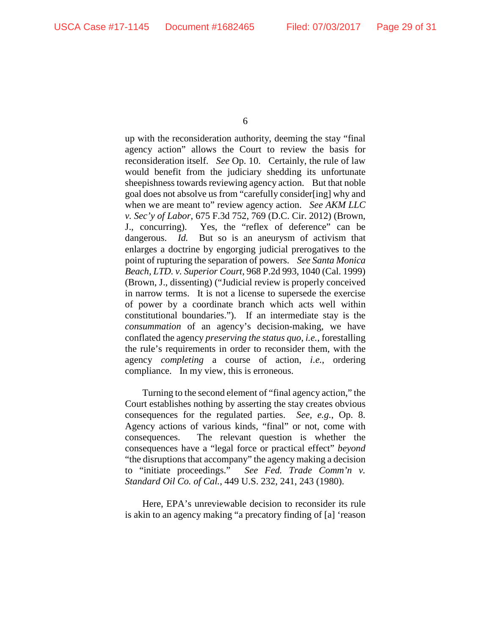up with the reconsideration authority, deeming the stay "final agency action" allows the Court to review the basis for reconsideration itself. *See* Op. 10. Certainly, the rule of law would benefit from the judiciary shedding its unfortunate sheepishness towards reviewing agency action. But that noble goal does not absolve us from "carefully consider[ing] why and when we are meant to" review agency action. *See AKM LLC v. Sec'y of Labor*, 675 F.3d 752, 769 (D.C. Cir. 2012) (Brown, J., concurring). Yes, the "reflex of deference" can be dangerous. *Id.* But so is an aneurysm of activism that enlarges a doctrine by engorging judicial prerogatives to the point of rupturing the separation of powers. *See Santa Monica Beach, LTD. v. Superior Court*, 968 P.2d 993, 1040 (Cal. 1999) (Brown, J., dissenting) ("Judicial review is properly conceived in narrow terms. It is not a license to supersede the exercise of power by a coordinate branch which acts well within constitutional boundaries."). If an intermediate stay is the *consummation* of an agency's decision-making, we have conflated the agency *preserving the status quo*, *i.e.*, forestalling the rule's requirements in order to reconsider them, with the agency *completing* a course of action, *i.e.*, ordering compliance. In my view, this is erroneous.

Turning to the second element of "final agency action," the Court establishes nothing by asserting the stay creates obvious consequences for the regulated parties. *See, e.g.*, Op. 8. Agency actions of various kinds, "final" or not, come with consequences. The relevant question is whether the consequences have a "legal force or practical effect" *beyond* "the disruptions that accompany" the agency making a decision to "initiate proceedings." *See Fed. Trade Comm'n v. Standard Oil Co. of Cal.*, 449 U.S. 232, 241, 243 (1980).

Here, EPA's unreviewable decision to reconsider its rule is akin to an agency making "a precatory finding of [a] 'reason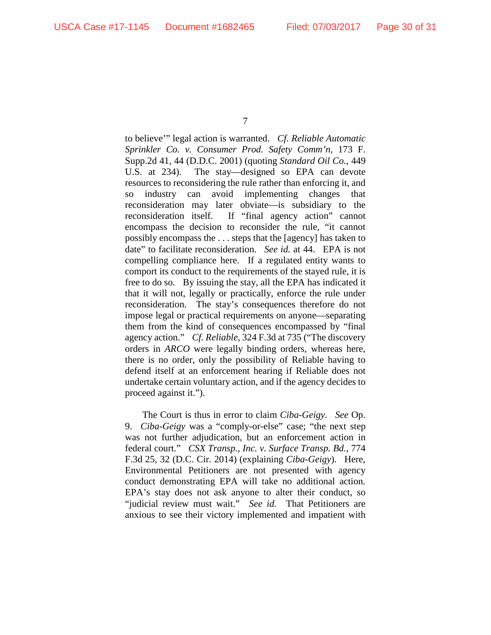to believe'" legal action is warranted. *Cf. Reliable Automatic Sprinkler Co. v. Consumer Prod. Safety Comm'n*, 173 F. Supp.2d 41, 44 (D.D.C. 2001) (quoting *Standard Oil Co.*, 449 U.S. at 234). The stay—designed so EPA can devote resources to reconsidering the rule rather than enforcing it, and so industry can avoid implementing changes that reconsideration may later obviate—is subsidiary to the reconsideration itself. If "final agency action" cannot encompass the decision to reconsider the rule, "it cannot possibly encompass the . . . steps that the [agency] has taken to date" to facilitate reconsideration. *See id.* at 44. EPA is not compelling compliance here. If a regulated entity wants to comport its conduct to the requirements of the stayed rule, it is free to do so. By issuing the stay, all the EPA has indicated it that it will not, legally or practically, enforce the rule under reconsideration. The stay's consequences therefore do not impose legal or practical requirements on anyone—separating them from the kind of consequences encompassed by "final agency action." *Cf. Reliable*, 324 F.3d at 735 ("The discovery orders in *ARCO* were legally binding orders, whereas here, there is no order, only the possibility of Reliable having to defend itself at an enforcement hearing if Reliable does not undertake certain voluntary action, and if the agency decides to proceed against it.").

The Court is thus in error to claim *Ciba-Geigy*. *See* Op. 9. *Ciba-Geigy* was a "comply-or-else" case; "the next step was not further adjudication, but an enforcement action in federal court." *CSX Transp., Inc. v. Surface Transp. Bd.*, 774 F.3d 25, 32 (D.C. Cir. 2014) (explaining *Ciba-Geigy*). Here, Environmental Petitioners are not presented with agency conduct demonstrating EPA will take no additional action. EPA's stay does not ask anyone to alter their conduct, so "judicial review must wait." *See id.* That Petitioners are anxious to see their victory implemented and impatient with